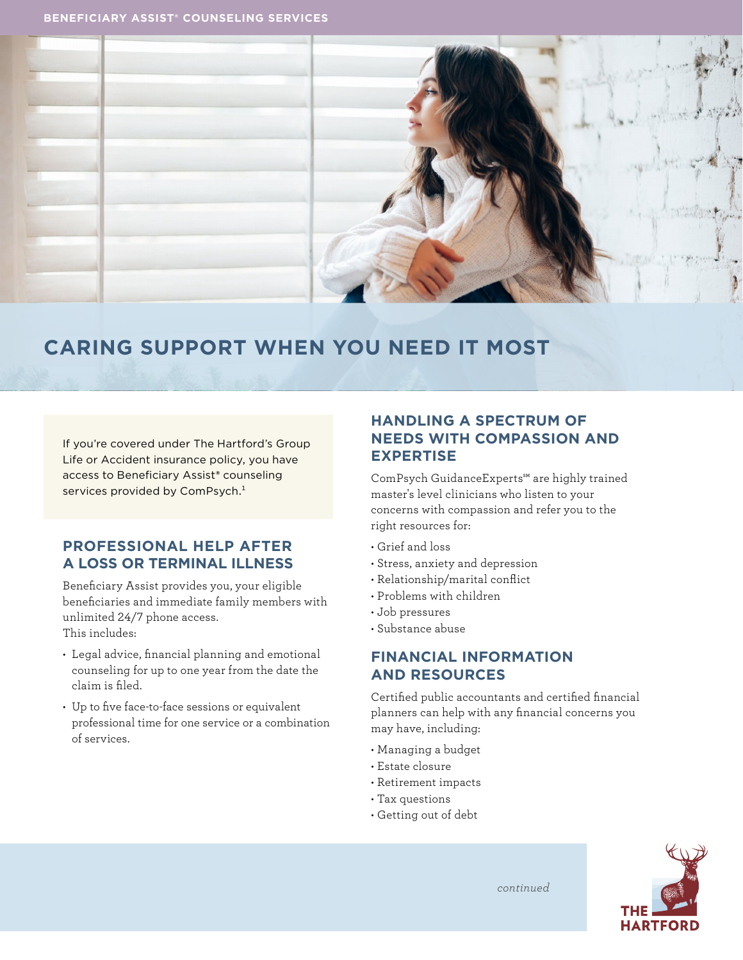

# **CARING SUPPORT WHEN YOU NEED IT MOST**

If you're covered under The Hartford's Group Life or Accident insurance policy, you have access to Beneficiary Assist**®** counseling services provided by ComPsych.<sup>1</sup>

# **PROFESSIONAL HELP AFTER A LOSS OR TERMINAL ILLNESS**

Beneficiary Assist provides you, your eligible beneficiaries and immediate family members with unlimited 24/7 phone access. This includes:

- Legal advice, financial planning and emotional counseling for up to one year from the date the claim is filed.
- Up to five face-to-face sessions or equivalent professional time for one service or a combination of services.

# **HANDLING A SPECTRUM OF NEEDS WITH COMPASSION AND EXPERTISE**

ComPsych GuidanceExperts℠ are highly trained master's level clinicians who listen to your concerns with compassion and refer you to the right resources for:

- Grief and loss
- Stress, anxiety and depression
- Relationship/marital conflict
- Problems with children
- Job pressures
- Substance abuse

# **FINANCIAL INFORMATION AND RESOURCES**

Certified public accountants and certified financial planners can help with any financial concerns you may have, including:

- Managing a budget
- Estate closure
- Retirement impacts
- Tax questions
- Getting out of debt



*continued*